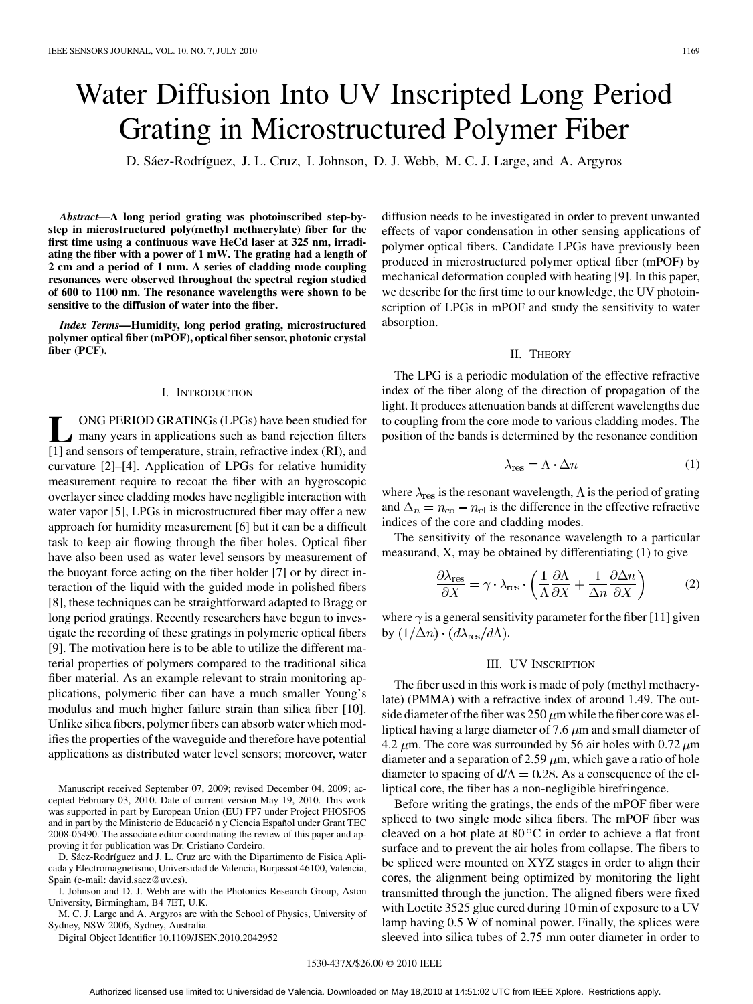# Water Diffusion Into UV Inscripted Long Period Grating in Microstructured Polymer Fiber

D. Sáez-Rodríguez, J. L. Cruz, I. Johnson, D. J. Webb, M. C. J. Large, and A. Argyros

*Abstract—***A long period grating was photoinscribed step-bystep in microstructured poly(methyl methacrylate) fiber for the first time using a continuous wave HeCd laser at 325 nm, irradiating the fiber with a power of 1 mW. The grating had a length of 2 cm and a period of 1 mm. A series of cladding mode coupling resonances were observed throughout the spectral region studied of 600 to 1100 nm. The resonance wavelengths were shown to be sensitive to the diffusion of water into the fiber.**

*Index Terms—***Humidity, long period grating, microstructured polymer optical fiber (mPOF), optical fiber sensor, photonic crystal fiber (PCF).**

#### I. INTRODUCTION

**L** ONG PERIOD GRATINGs (LPGs) have been studied for many years in applications such as band rejection filters [1] and sensors of temperature, strain, refractive index (RI), and curvature [2]–[4]. Application of LPGs for relative humidity measurement require to recoat the fiber with an hygroscopic overlayer since cladding modes have negligible interaction with water vapor [5], LPGs in microstructured fiber may offer a new approach for humidity measurement [6] but it can be a difficult task to keep air flowing through the fiber holes. Optical fiber have also been used as water level sensors by measurement of the buoyant force acting on the fiber holder [7] or by direct interaction of the liquid with the guided mode in polished fibers [8], these techniques can be straightforward adapted to Bragg or long period gratings. Recently researchers have begun to investigate the recording of these gratings in polymeric optical fibers [9]. The motivation here is to be able to utilize the different material properties of polymers compared to the traditional silica fiber material. As an example relevant to strain monitoring applications, polymeric fiber can have a much smaller Young's modulus and much higher failure strain than silica fiber [10]. Unlike silica fibers, polymer fibers can absorb water which modifies the properties of the waveguide and therefore have potential applications as distributed water level sensors; moreover, water

Manuscript received September 07, 2009; revised December 04, 2009; accepted February 03, 2010. Date of current version May 19, 2010. This work was supported in part by European Union (EU) FP7 under Project PHOSFOS and in part by the Ministerio de Educació n y Ciencia Español under Grant TEC 2008-05490. The associate editor coordinating the review of this paper and approving it for publication was Dr. Cristiano Cordeiro.

D. Sáez-Rodríguez and J. L. Cruz are with the Dipartimento de Fisica Aplicada y Electromagnetismo, Universidad de Valencia, Burjassot 46100, Valencia, Spain (e-mail: david.saez@uv.es).

I. Johnson and D. J. Webb are with the Photonics Research Group, Aston University, Birmingham, B4 7ET, U.K.

M. C. J. Large and A. Argyros are with the School of Physics, University of Sydney, NSW 2006, Sydney, Australia.

Digital Object Identifier 10.1109/JSEN.2010.2042952

diffusion needs to be investigated in order to prevent unwanted effects of vapor condensation in other sensing applications of polymer optical fibers. Candidate LPGs have previously been produced in microstructured polymer optical fiber (mPOF) by mechanical deformation coupled with heating [9]. In this paper, we describe for the first time to our knowledge, the UV photoinscription of LPGs in mPOF and study the sensitivity to water absorption.

#### II. THEORY

The LPG is a periodic modulation of the effective refractive index of the fiber along of the direction of propagation of the light. It produces attenuation bands at different wavelengths due to coupling from the core mode to various cladding modes. The position of the bands is determined by the resonance condition

$$
\lambda_{\text{res}} = \Lambda \cdot \Delta n \tag{1}
$$

where  $\lambda_{res}$  is the resonant wavelength,  $\Lambda$  is the period of grating and  $\Delta_n = n_{\rm co} - n_{\rm cl}$  is the difference in the effective refractive indices of the core and cladding modes.

The sensitivity of the resonance wavelength to a particular measurand, X, may be obtained by differentiating (1) to give

$$
\frac{\partial \lambda_{\text{res}}}{\partial X} = \gamma \cdot \lambda_{\text{res}} \cdot \left( \frac{1}{\Lambda} \frac{\partial \Lambda}{\partial X} + \frac{1}{\Delta n} \frac{\partial \Delta n}{\partial X} \right) \tag{2}
$$

where  $\gamma$  is a general sensitivity parameter for the fiber [11] given by  $(1/\Delta n) \cdot (d\lambda_{\text{res}}/d\Lambda)$ .

### III. UV INSCRIPTION

The fiber used in this work is made of poly (methyl methacrylate) (PMMA) with a refractive index of around 1.49. The outside diameter of the fiber was  $250 \mu m$  while the fiber core was elliptical having a large diameter of 7.6  $\mu$ m and small diameter of 4.2  $\mu$ m. The core was surrounded by 56 air holes with 0.72  $\mu$ m diameter and a separation of 2.59  $\mu$ m, which gave a ratio of hole diameter to spacing of  $d/\Lambda = 0.28$ . As a consequence of the elliptical core, the fiber has a non-negligible birefringence.

Before writing the gratings, the ends of the mPOF fiber were spliced to two single mode silica fibers. The mPOF fiber was cleaved on a hot plate at  $80^{\circ}$ C in order to achieve a flat front surface and to prevent the air holes from collapse. The fibers to be spliced were mounted on XYZ stages in order to align their cores, the alignment being optimized by monitoring the light transmitted through the junction. The aligned fibers were fixed with Loctite 3525 glue cured during 10 min of exposure to a UV lamp having 0.5 W of nominal power. Finally, the splices were sleeved into silica tubes of 2.75 mm outer diameter in order to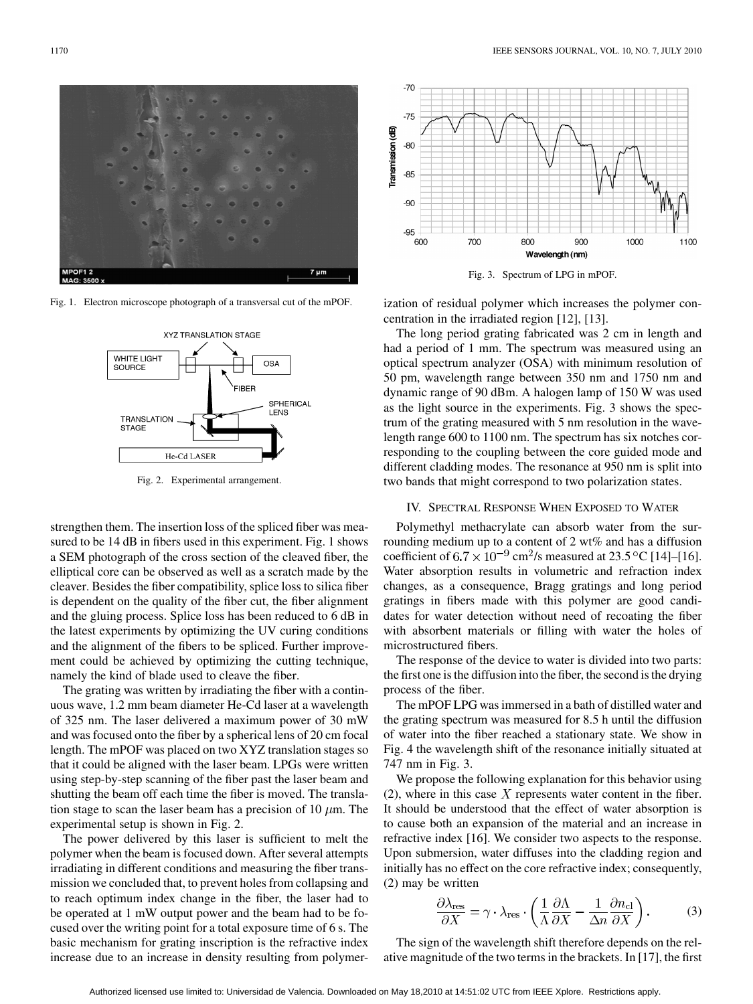

Fig. 1. Electron microscope photograph of a transversal cut of the mPOF.



Fig. 2. Experimental arrangement.

strengthen them. The insertion loss of the spliced fiber was measured to be 14 dB in fibers used in this experiment. Fig. 1 shows a SEM photograph of the cross section of the cleaved fiber, the elliptical core can be observed as well as a scratch made by the cleaver. Besides the fiber compatibility, splice loss to silica fiber is dependent on the quality of the fiber cut, the fiber alignment and the gluing process. Splice loss has been reduced to 6 dB in the latest experiments by optimizing the UV curing conditions and the alignment of the fibers to be spliced. Further improvement could be achieved by optimizing the cutting technique, namely the kind of blade used to cleave the fiber.

The grating was written by irradiating the fiber with a continuous wave, 1.2 mm beam diameter He-Cd laser at a wavelength of 325 nm. The laser delivered a maximum power of 30 mW and was focused onto the fiber by a spherical lens of 20 cm focal length. The mPOF was placed on two XYZ translation stages so that it could be aligned with the laser beam. LPGs were written using step-by-step scanning of the fiber past the laser beam and shutting the beam off each time the fiber is moved. The translation stage to scan the laser beam has a precision of 10  $\mu$ m. The experimental setup is shown in Fig. 2.

The power delivered by this laser is sufficient to melt the polymer when the beam is focused down. After several attempts irradiating in different conditions and measuring the fiber transmission we concluded that, to prevent holes from collapsing and to reach optimum index change in the fiber, the laser had to be operated at 1 mW output power and the beam had to be focused over the writing point for a total exposure time of 6 s. The basic mechanism for grating inscription is the refractive index increase due to an increase in density resulting from polymer-



Fig. 3. Spectrum of LPG in mPOF.

ization of residual polymer which increases the polymer concentration in the irradiated region [12], [13].

The long period grating fabricated was 2 cm in length and had a period of 1 mm. The spectrum was measured using an optical spectrum analyzer (OSA) with minimum resolution of 50 pm, wavelength range between 350 nm and 1750 nm and dynamic range of 90 dBm. A halogen lamp of 150 W was used as the light source in the experiments. Fig. 3 shows the spectrum of the grating measured with 5 nm resolution in the wavelength range 600 to 1100 nm. The spectrum has six notches corresponding to the coupling between the core guided mode and different cladding modes. The resonance at 950 nm is split into two bands that might correspond to two polarization states.

#### IV. SPECTRAL RESPONSE WHEN EXPOSED TO WATER

Polymethyl methacrylate can absorb water from the surrounding medium up to a content of 2 wt% and has a diffusion coefficient of  $6.7 \times 10^{-9}$  cm<sup>2</sup>/s measured at 23.5 °C [14]–[16]. Water absorption results in volumetric and refraction index changes, as a consequence, Bragg gratings and long period gratings in fibers made with this polymer are good candidates for water detection without need of recoating the fiber with absorbent materials or filling with water the holes of microstructured fibers.

The response of the device to water is divided into two parts: the first one is the diffusion into the fiber, the second is the drying process of the fiber.

The mPOF LPG was immersed in a bath of distilled water and the grating spectrum was measured for 8.5 h until the diffusion of water into the fiber reached a stationary state. We show in Fig. 4 the wavelength shift of the resonance initially situated at 747 nm in Fig. 3.

We propose the following explanation for this behavior using (2), where in this case  $X$  represents water content in the fiber. It should be understood that the effect of water absorption is to cause both an expansion of the material and an increase in refractive index [16]. We consider two aspects to the response. Upon submersion, water diffuses into the cladding region and initially has no effect on the core refractive index; consequently, (2) may be written

$$
\frac{\partial \lambda_{\text{res}}}{\partial X} = \gamma \cdot \lambda_{\text{res}} \cdot \left( \frac{1}{\Lambda} \frac{\partial \Lambda}{\partial X} - \frac{1}{\Delta n} \frac{\partial n_{\text{cl}}}{\partial X} \right). \tag{3}
$$

The sign of the wavelength shift therefore depends on the relative magnitude of the two terms in the brackets. In [17], the first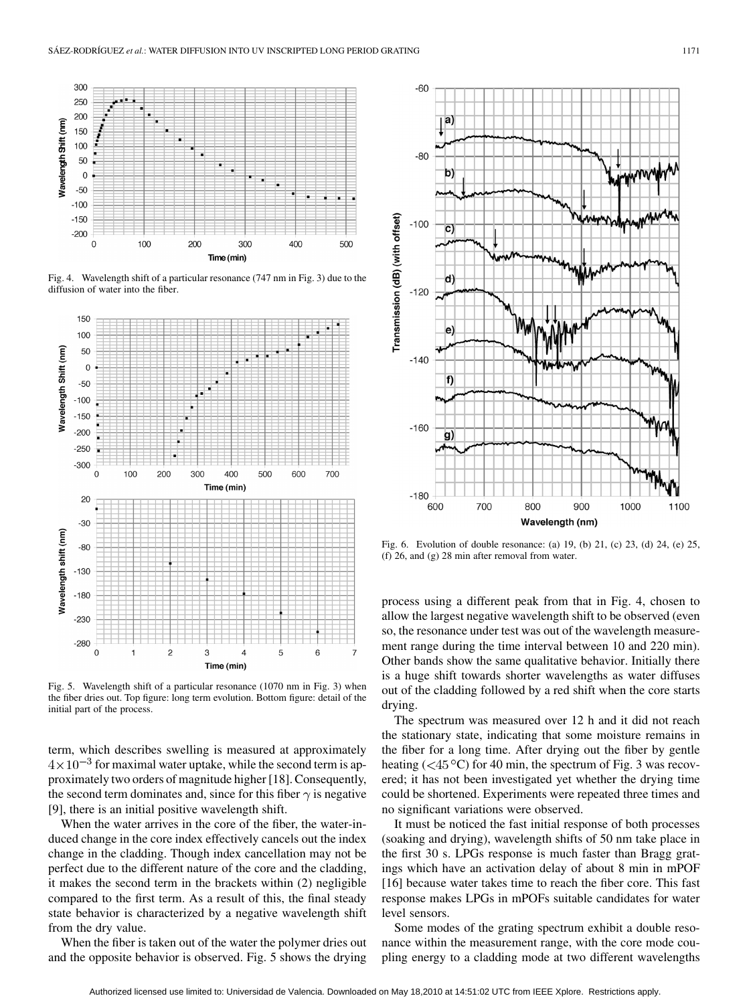

Fig. 4. Wavelength shift of a particular resonance (747 nm in Fig. 3) due to the diffusion of water into the fiber.



Fig. 5. Wavelength shift of a particular resonance (1070 nm in Fig. 3) when the fiber dries out. Top figure: long term evolution. Bottom figure: detail of the initial part of the process.

term, which describes swelling is measured at approximately  $4 \times 10^{-3}$  for maximal water uptake, while the second term is approximately two orders of magnitude higher [18]. Consequently, the second term dominates and, since for this fiber  $\gamma$  is negative [9], there is an initial positive wavelength shift.

When the water arrives in the core of the fiber, the water-induced change in the core index effectively cancels out the index change in the cladding. Though index cancellation may not be perfect due to the different nature of the core and the cladding, it makes the second term in the brackets within (2) negligible compared to the first term. As a result of this, the final steady state behavior is characterized by a negative wavelength shift from the dry value.

When the fiber is taken out of the water the polymer dries out and the opposite behavior is observed. Fig. 5 shows the drying



Fig. 6. Evolution of double resonance: (a) 19, (b) 21, (c) 23, (d) 24, (e) 25, (f) 26, and (g) 28 min after removal from water.

process using a different peak from that in Fig. 4, chosen to allow the largest negative wavelength shift to be observed (even so, the resonance under test was out of the wavelength measurement range during the time interval between 10 and 220 min). Other bands show the same qualitative behavior. Initially there is a huge shift towards shorter wavelengths as water diffuses out of the cladding followed by a red shift when the core starts drying.

The spectrum was measured over 12 h and it did not reach the stationary state, indicating that some moisture remains in the fiber for a long time. After drying out the fiber by gentle heating ( $\langle 45^{\circ}$ C) for 40 min, the spectrum of Fig. 3 was recovered; it has not been investigated yet whether the drying time could be shortened. Experiments were repeated three times and no significant variations were observed.

It must be noticed the fast initial response of both processes (soaking and drying), wavelength shifts of 50 nm take place in the first 30 s. LPGs response is much faster than Bragg gratings which have an activation delay of about 8 min in mPOF [16] because water takes time to reach the fiber core. This fast response makes LPGs in mPOFs suitable candidates for water level sensors.

Some modes of the grating spectrum exhibit a double resonance within the measurement range, with the core mode coupling energy to a cladding mode at two different wavelengths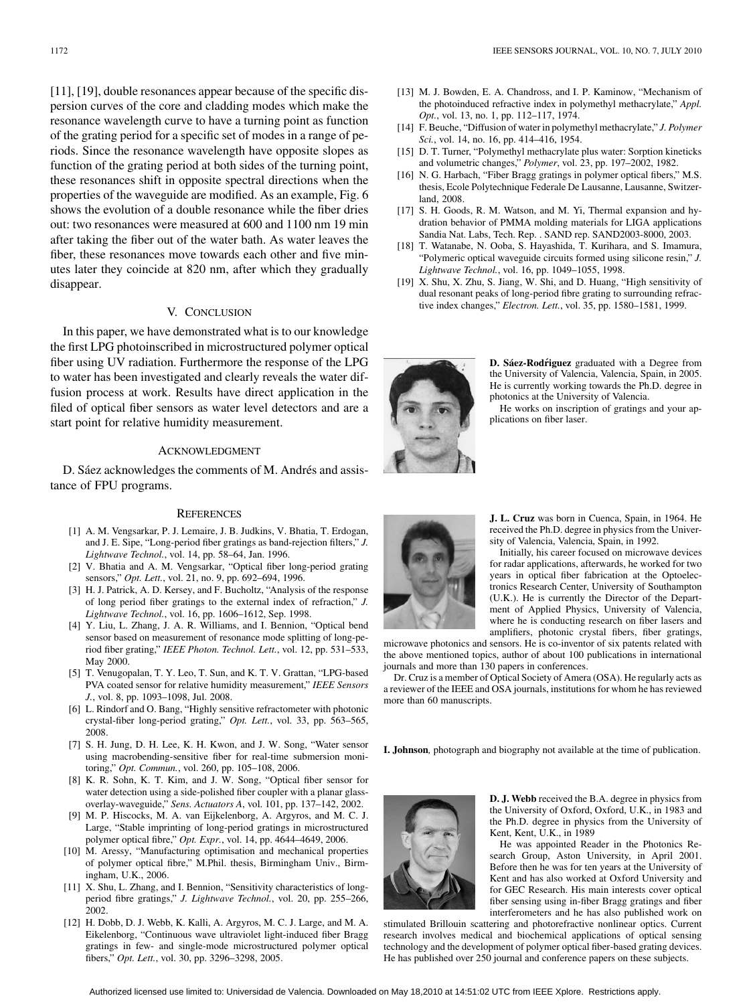[11], [19], double resonances appear because of the specific dispersion curves of the core and cladding modes which make the resonance wavelength curve to have a turning point as function of the grating period for a specific set of modes in a range of periods. Since the resonance wavelength have opposite slopes as function of the grating period at both sides of the turning point, these resonances shift in opposite spectral directions when the properties of the waveguide are modified. As an example, Fig. 6 shows the evolution of a double resonance while the fiber dries out: two resonances were measured at 600 and 1100 nm 19 min after taking the fiber out of the water bath. As water leaves the fiber, these resonances move towards each other and five minutes later they coincide at 820 nm, after which they gradually disappear.

## V. CONCLUSION

In this paper, we have demonstrated what is to our knowledge the first LPG photoinscribed in microstructured polymer optical fiber using UV radiation. Furthermore the response of the LPG to water has been investigated and clearly reveals the water diffusion process at work. Results have direct application in the filed of optical fiber sensors as water level detectors and are a start point for relative humidity measurement.

#### ACKNOWLEDGMENT

D. Sáez acknowledges the comments of M. Andrés and assistance of FPU programs.

#### **REFERENCES**

- [1] A. M. Vengsarkar, P. J. Lemaire, J. B. Judkins, V. Bhatia, T. Erdogan, and J. E. Sipe, "Long-period fiber gratings as band-rejection filters," *J. Lightwave Technol.*, vol. 14, pp. 58–64, Jan. 1996.
- [2] V. Bhatia and A. M. Vengsarkar, "Optical fiber long-period grating sensors," *Opt. Lett.*, vol. 21, no. 9, pp. 692–694, 1996.
- [3] H. J. Patrick, A. D. Kersey, and F. Bucholtz, "Analysis of the response of long period fiber gratings to the external index of refraction," *J. Lightwave Technol.*, vol. 16, pp. 1606–1612, Sep. 1998.
- [4] Y. Liu, L. Zhang, J. A. R. Williams, and I. Bennion, "Optical bend sensor based on measurement of resonance mode splitting of long-period fiber grating," *IEEE Photon. Technol. Lett.*, vol. 12, pp. 531–533, May 2000.
- [5] T. Venugopalan, T. Y. Leo, T. Sun, and K. T. V. Grattan, "LPG-based PVA coated sensor for relative humidity measurement," *IEEE Sensors J.*, vol. 8, pp. 1093–1098, Jul. 2008.
- [6] L. Rindorf and O. Bang, "Highly sensitive refractometer with photonic crystal-fiber long-period grating," *Opt. Lett.*, vol. 33, pp. 563–565, 2008.
- [7] S. H. Jung, D. H. Lee, K. H. Kwon, and J. W. Song, "Water sensor using macrobending-sensitive fiber for real-time submersion monitoring," *Opt. Commun.*, vol. 260, pp. 105–108, 2006.
- [8] K. R. Sohn, K. T. Kim, and J. W. Song, "Optical fiber sensor for water detection using a side-polished fiber coupler with a planar glassoverlay-waveguide," *Sens. Actuators A*, vol. 101, pp. 137–142, 2002.
- [9] M. P. Hiscocks, M. A. van Eijkelenborg, A. Argyros, and M. C. J. Large, "Stable imprinting of long-period gratings in microstructured polymer optical fibre," *Opt. Expr.*, vol. 14, pp. 4644–4649, 2006.
- [10] M. Aressy, "Manufacturing optimisation and mechanical properties of polymer optical fibre," M.Phil. thesis, Birmingham Univ., Birmingham, U.K., 2006.
- [11] X. Shu, L. Zhang, and I. Bennion, "Sensitivity characteristics of longperiod fibre gratings," *J. Lightwave Technol.*, vol. 20, pp. 255–266, 2002.
- [12] H. Dobb, D. J. Webb, K. Kalli, A. Argyros, M. C. J. Large, and M. A. Eikelenborg, "Continuous wave ultraviolet light-induced fiber Bragg gratings in few- and single-mode microstructured polymer optical fibers," *Opt. Lett.*, vol. 30, pp. 3296–3298, 2005.
- [13] M. J. Bowden, E. A. Chandross, and I. P. Kaminow, "Mechanism of the photoinduced refractive index in polymethyl methacrylate," *Appl. Opt.*, vol. 13, no. 1, pp. 112–117, 1974.
- [14] F. Beuche, "Diffusion of water in polymethyl methacrylate," *J. Polymer Sci.*, vol. 14, no. 16, pp. 414–416, 1954.
- [15] D. T. Turner, "Polymethyl methacrylate plus water: Sorption kineticks and volumetric changes," *Polymer*, vol. 23, pp. 197–2002, 1982.
- [16] N. G. Harbach, "Fiber Bragg gratings in polymer optical fibers," M.S. thesis, Ecole Polytechnique Federale De Lausanne, Lausanne, Switzerland, 2008.
- [17] S. H. Goods, R. M. Watson, and M. Yi, Thermal expansion and hydration behavior of PMMA molding materials for LIGA applications Sandia Nat. Labs, Tech. Rep. . SAND rep. SAND2003-8000, 2003.
- [18] T. Watanabe, N. Ooba, S. Hayashida, T. Kurihara, and S. Imamura, "Polymeric optical waveguide circuits formed using silicone resin," *J. Lightwave Technol.*, vol. 16, pp. 1049–1055, 1998.
- [19] X. Shu, X. Zhu, S. Jiang, W. Shi, and D. Huang, "High sensitivity of dual resonant peaks of long-period fibre grating to surrounding refractive index changes," *Electron. Lett.*, vol. 35, pp. 1580–1581, 1999.



**D. Sáez-Rodr´iguez** graduated with a Degree from the University of Valencia, Valencia, Spain, in 2005. He is currently working towards the Ph.D. degree in photonics at the University of Valencia.

He works on inscription of gratings and your applications on fiber laser.



**J. L. Cruz** was born in Cuenca, Spain, in 1964. He received the Ph.D. degree in physics from the University of Valencia, Valencia, Spain, in 1992.

Initially, his career focused on microwave devices for radar applications, afterwards, he worked for two years in optical fiber fabrication at the Optoelectronics Research Center, University of Southampton (U.K.). He is currently the Director of the Department of Applied Physics, University of Valencia, where he is conducting research on fiber lasers and amplifiers, photonic crystal fibers, fiber gratings,

microwave photonics and sensors. He is co-inventor of six patents related with the above mentioned topics, author of about 100 publications in international journals and more than 130 papers in conferences.

Dr. Cruz is a member of Optical Society of Amera (OSA). He regularly acts as a reviewer of the IEEE and OSA journals, institutions for whom he has reviewed more than 60 manuscripts.

**I. Johnson***,* photograph and biography not available at the time of publication.



**D. J. Webb** received the B.A. degree in physics from the University of Oxford, Oxford, U.K., in 1983 and the Ph.D. degree in physics from the University of Kent, Kent, U.K., in 1989

He was appointed Reader in the Photonics Research Group, Aston University, in April 2001. Before then he was for ten years at the University of Kent and has also worked at Oxford University and for GEC Research. His main interests cover optical fiber sensing using in-fiber Bragg gratings and fiber interferometers and he has also published work on

stimulated Brillouin scattering and photorefractive nonlinear optics. Current research involves medical and biochemical applications of optical sensing technology and the development of polymer optical fiber-based grating devices. He has published over 250 journal and conference papers on these subjects.